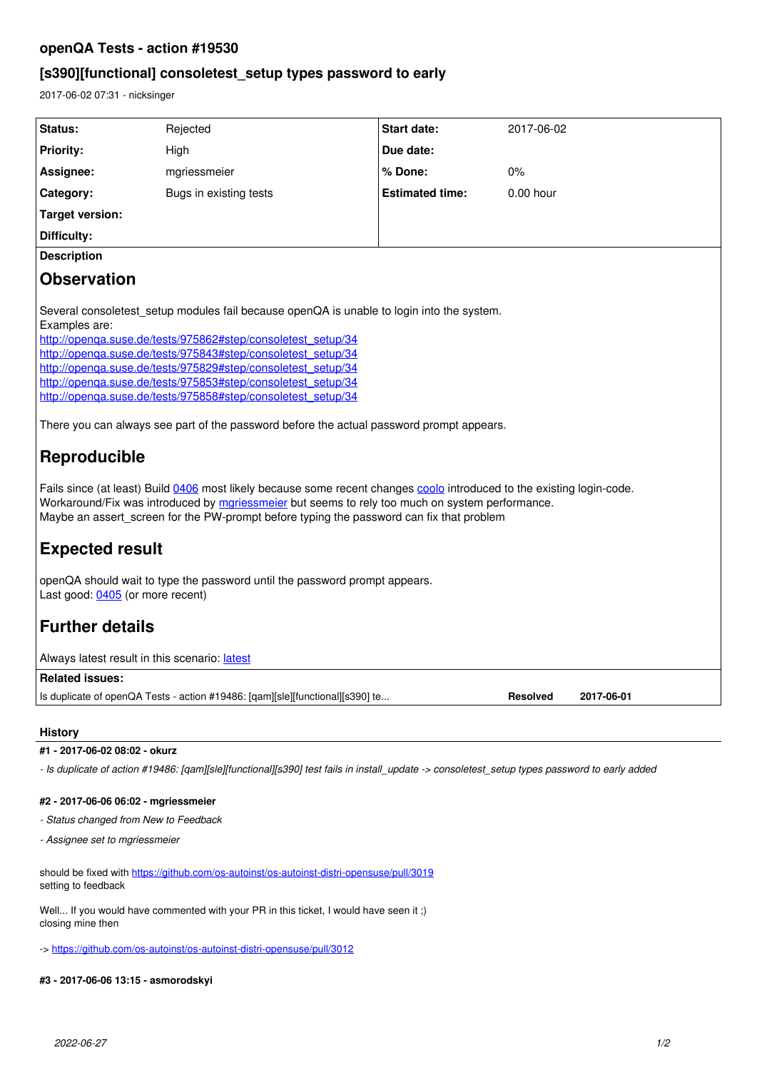## **openQA Tests - action #19530**

# **[s390][functional] consoletest\_setup types password to early**

2017-06-02 07:31 - nicksinger

| Status:                                                                                                                                                                                                                                                                                                                                                                                                                                                                                                                                                | Rejected               | <b>Start date:</b>     | 2017-06-02  |
|--------------------------------------------------------------------------------------------------------------------------------------------------------------------------------------------------------------------------------------------------------------------------------------------------------------------------------------------------------------------------------------------------------------------------------------------------------------------------------------------------------------------------------------------------------|------------------------|------------------------|-------------|
| <b>Priority:</b>                                                                                                                                                                                                                                                                                                                                                                                                                                                                                                                                       | High                   | Due date:              |             |
| Assignee:                                                                                                                                                                                                                                                                                                                                                                                                                                                                                                                                              | mgriessmeier           | % Done:                | 0%          |
| Category:                                                                                                                                                                                                                                                                                                                                                                                                                                                                                                                                              | Bugs in existing tests | <b>Estimated time:</b> | $0.00$ hour |
| <b>Target version:</b>                                                                                                                                                                                                                                                                                                                                                                                                                                                                                                                                 |                        |                        |             |
| Difficulty:                                                                                                                                                                                                                                                                                                                                                                                                                                                                                                                                            |                        |                        |             |
| <b>Description</b>                                                                                                                                                                                                                                                                                                                                                                                                                                                                                                                                     |                        |                        |             |
| <b>Observation</b>                                                                                                                                                                                                                                                                                                                                                                                                                                                                                                                                     |                        |                        |             |
| Several consoletest setup modules fail because openQA is unable to login into the system.<br>Examples are:<br>http://openga.suse.de/tests/975862#step/consoletest_setup/34<br>http://openga.suse.de/tests/975843#step/consoletest_setup/34<br>http://openga.suse.de/tests/975829#step/consoletest_setup/34<br>http://openga.suse.de/tests/975853#step/consoletest_setup/34<br>http://openga.suse.de/tests/975858#step/consoletest_setup/34<br>There you can always see part of the password before the actual password prompt appears.<br>Reproducible |                        |                        |             |
| Fails since (at least) Build 0406 most likely because some recent changes coolo introduced to the existing login-code.<br>Workaround/Fix was introduced by mariessmeier but seems to rely too much on system performance.<br>Maybe an assert_screen for the PW-prompt before typing the password can fix that problem                                                                                                                                                                                                                                  |                        |                        |             |
| <b>Expected result</b>                                                                                                                                                                                                                                                                                                                                                                                                                                                                                                                                 |                        |                        |             |
| openQA should wait to type the password until the password prompt appears.<br>Last good: 0405 (or more recent)                                                                                                                                                                                                                                                                                                                                                                                                                                         |                        |                        |             |
| <b>Further details</b>                                                                                                                                                                                                                                                                                                                                                                                                                                                                                                                                 |                        |                        |             |
| Always latest result in this scenario: latest                                                                                                                                                                                                                                                                                                                                                                                                                                                                                                          |                        |                        |             |
| <b>Related issues:</b>                                                                                                                                                                                                                                                                                                                                                                                                                                                                                                                                 |                        |                        |             |
| Is duplicate of openQA Tests - action #19486: [qam][sle][functional][s390] te<br><b>Resolved</b><br>2017-06-01                                                                                                                                                                                                                                                                                                                                                                                                                                         |                        |                        |             |

### **History**

#### **#1 - 2017-06-02 08:02 - okurz**

*- Is duplicate of action #19486: [qam][sle][functional][s390] test fails in install\_update -> consoletest\_setup types password to early added*

#### **#2 - 2017-06-06 06:02 - mgriessmeier**

*- Status changed from New to Feedback*

*- Assignee set to mgriessmeier*

should be fixed with <https://github.com/os-autoinst/os-autoinst-distri-opensuse/pull/3019> setting to feedback

Well... If you would have commented with your PR in this ticket, I would have seen it ;) closing mine then

-> <https://github.com/os-autoinst/os-autoinst-distri-opensuse/pull/3012>

### **#3 - 2017-06-06 13:15 - asmorodskyi**